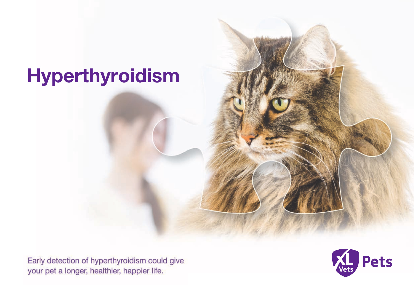# **Hyperthyroidism**

Early detection of hyperthyroidism could give your pet a longer, healthier, happier life.

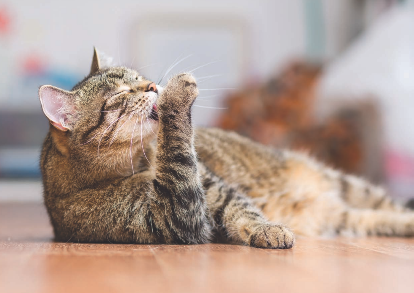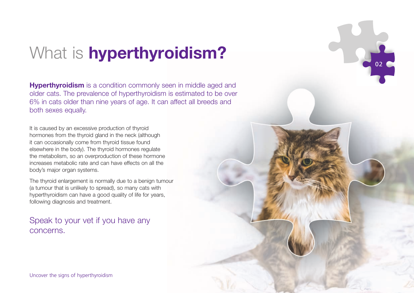# What is **hyperthyroidism?**

**Hyperthyroidism** is a condition commonly seen in middle aged and older cats. The prevalence of hyperthyroidism is estimated to be over 6% in cats older than nine years of age. It can affect all breeds and both sexes equally.

02

It is caused by an excessive production of thyroid hormones from the thyroid gland in the neck (although it can occasionally come from thyroid tissue found elsewhere in the body). The thyroid hormones regulate the metabolism, so an overproduction of these hormone increases metabolic rate and can have effects on all the body's major organ systems.

The thyroid enlargement is normally due to a benign tumour (a tumour that is unlikely to spread), so many cats with hyperthyroidism can have a good quality of life for years, following diagnosis and treatment.

Speak to your vet if you have any concerns.

Uncover the signs of hyperthyroidism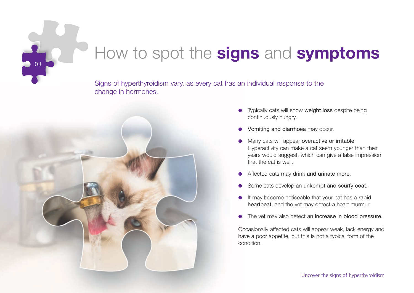# How to spot the **signs** and **symptoms**

## Signs of hyperthyroidism vary, as every cat has an individual response to the change in hormones.



 $0<sup>3</sup>$ 

- Typically cats will show weight loss despite being continuously hungry.
- Vomiting and diarrhoea may occur.
- Many cats will appear overactive or irritable. Hyperactivity can make a cat seem younger than their years would suggest, which can give a false impression that the cat is well.
- Affected cats may drink and urinate more.
- Some cats develop an unkempt and scurfy coat.
- It may become noticeable that your cat has a rapid heartbeat, and the vet may detect a heart murmur.
- The vet may also detect an increase in blood pressure.

Occasionally affected cats will appear weak, lack energy and have a poor appetite, but this is not a typical form of the condition.

Uncover the signs of hyperthyroidism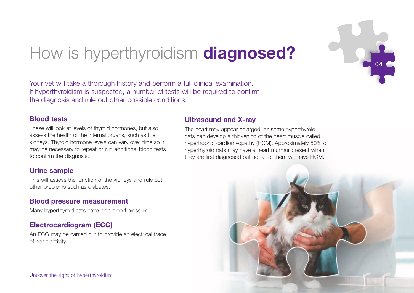

# How is hyperthyroidism **diagnosed?**

Your vet will take a thorough history and perform a full clinical examination. If hyperthyroidism is suspected, a number of tests will be required to confirm the diagnosis and rule out other possible conditions.

### **Blood tests**

These will look at levels of thyroid hormones, but also assess the health of the internal organs, such as the kidneys. Thyroid hormone levels can vary over time so it may be necessary to repeat or run additional blood tests to confirm the diagnosis.

### **Urine sample**

This will assess the function of the kidneys and rule out other problems such as diabetes.

# **Blood pressure measurement**

Many hyperthyroid cats have high blood pressure.

# **Electrocardiogram (ECG)**

An ECG may be carried out to provide an electrical trace of heart activity.

## **Ultrasound and X-ray**

The heart may appear enlarged, as some hyperthyroid cats can develop a thickening of the heart muscle called hypertrophic cardiomyopathy (HCM). Approximately 50% of hyperthyroid cats may have a heart murmur present when they are first diagnosed but not all of them will have HCM.

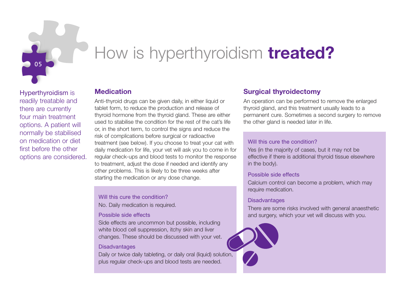

# How is hyperthyroidism **treated?**

### **Medication**

Hyperthyroidism is readily treatable and there are currently four main treatment options. A patient will normally be stabilised on medication or diet first before the other options are considered.

Anti-thyroid drugs can be given daily, in either liquid or tablet form, to reduce the production and release of thyroid hormone from the thyroid gland. These are either used to stabilise the condition for the rest of the cat's life or, in the short term, to control the signs and reduce the risk of complications before surgical or radioactive treatment (see below). If you choose to treat your cat with daily medication for life, your vet will ask you to come in for regular check-ups and blood tests to monitor the response to treatment, adjust the dose if needed and identify any other problems. This is likely to be three weeks after starting the medication or any dose change.

#### Will this cure the condition?

No. Daily medication is required.

#### Possible side effects

Side effects are uncommon but possible, including white blood cell suppression, itchy skin and liver changes. These should be discussed with your vet.

#### **Disadvantages**

Daily or twice daily tableting, or daily oral (liquid) solution, plus regular check-ups and blood tests are needed.

# **Surgical thyroidectomy**

An operation can be performed to remove the enlarged thyroid gland, and this treatment usually leads to a permanent cure. Sometimes a second surgery to remove the other gland is needed later in life.

#### Will this cure the condition?

Yes (in the majority of cases, but it may not be effective if there is additional thyroid tissue elsewhere in the body).

#### Possible side effects

Calcium control can become a problem, which may require medication.

#### **Disadvantages**

There are some risks involved with general anaesthetic and surgery, which your vet will discuss with you.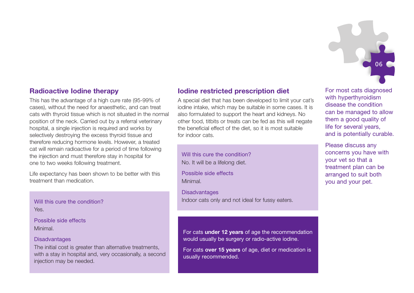

This has the advantage of a high cure rate (95-99% of cases), without the need for anaesthetic, and can treat cats with thyroid tissue which is not situated in the normal position of the neck. Carried out by a referral veterinary hospital, a single injection is required and works by selectively destroying the excess thyroid tissue and therefore reducing hormone levels. However, a treated cat will remain radioactive for a period of time following the injection and must therefore stay in hospital for one to two weeks following treatment.

Life expectancy has been shown to be better with this treatment than medication.

Will this cure the condition? Yes.

Possible side effects Minimal.

#### **Disadvantages**

The initial cost is greater than alternative treatments, with a stay in hospital and, very occasionally, a second injection may be needed.

#### **Iodine restricted prescription diet**

A special diet that has been developed to limit your cat's iodine intake, which may be suitable in some cases. It is also formulated to support the heart and kidneys. No other food, titbits or treats can be fed as this will negate the beneficial effect of the diet, so it is most suitable for indoor cats.

Will this cure the condition? No. It will be a lifelong diet.

Possible side effects Minimal.

**Disadvantages** Indoor cats only and not ideal for fussy eaters.

For cats **under 12 years** of age the recommendation would usually be surgery or radio-active iodine.

For cats **over 15 years** of age, diet or medication is usually recommended.

For most cats diagnosed with hyperthyroidism disease the condition can be managed to allow them a good quality of life for several years, and is potentially curable.

Please discuss any concerns you have with your vet so that a treatment plan can be arranged to suit both you and your pet.